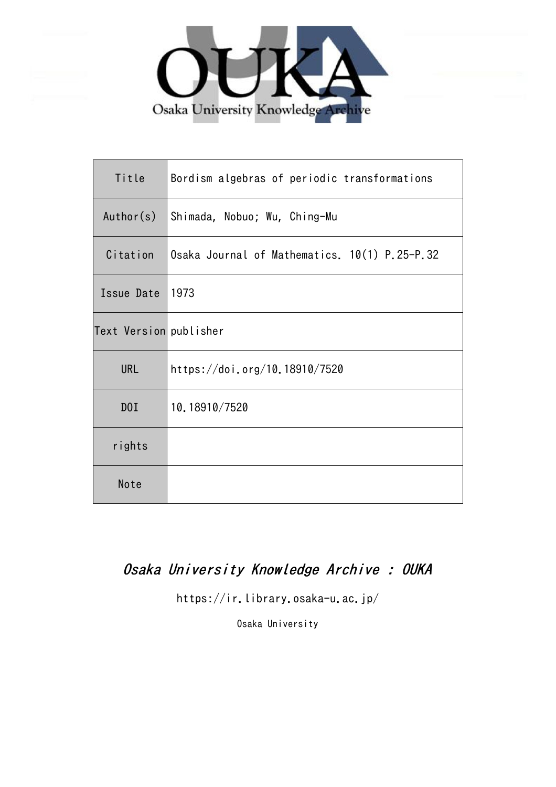

| Title                  | Bordism algebras of periodic transformations  |
|------------------------|-----------------------------------------------|
| Author(s)              | Shimada, Nobuo; Wu, Ching-Mu                  |
| Citation               | Osaka Journal of Mathematics. 10(1) P.25-P.32 |
| Issue Date             | 1973                                          |
| Text Version publisher |                                               |
| <b>URL</b>             | https://doi.org/10.18910/7520                 |
| D0I                    | 10.18910/7520                                 |
| rights                 |                                               |
| Note                   |                                               |

# Osaka University Knowledge Archive : OUKA

https://ir.library.osaka-u.ac.jp/

Osaka University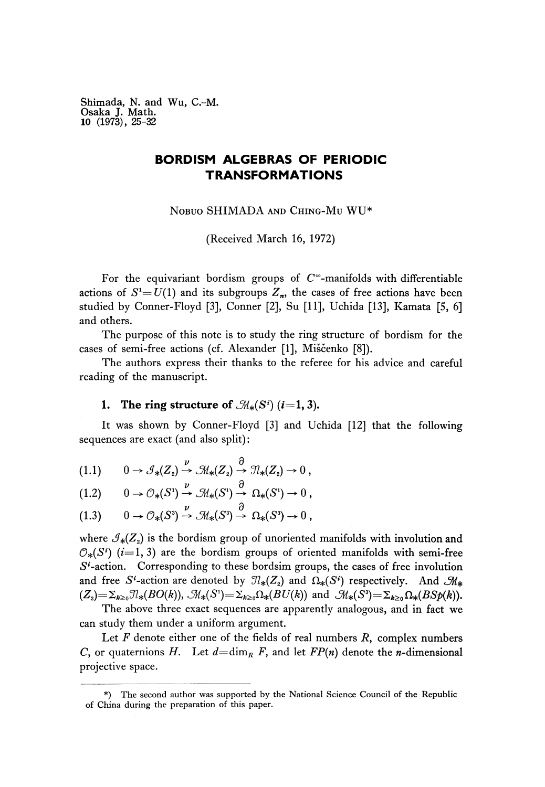Shimada, N. and Wu, C.-M. Osaka J. Math. **10** (1973), 25-32

## **BORDISM ALGEBRAS OF PERIODIC TRANSFORMATIONS**

NOBUO SHIMADA AND CHING-MU WU\*

(Received March 16, 1972)

For the equivariant bordism groups of  $C^{\infty}$ -manifolds with differentiable actions of  $S^1 = U(1)$  and its subgroups  $Z_n$ , the cases of free actions have been studied by Conner-Floyd [3], Conner [2], Su [11], Uchida [13], Kamata [5, 6] and others.

The purpose of this note is to study the ring structure of bordism for the cases of semi-free actions (cf. Alexander [1], Miščenko [8]).

The authors express their thanks to the referee for his advice and careful reading of the manuscript.

## **1.** The ring structure of  $\mathcal{M}_*(S^i)$  (i=1, 3).

It was shown by Conner-Floyd [3] and Uchida [12] that the following sequences are exact (and also split) :

$$
(1.1) \qquad 0 \to \mathcal{J}_{*}(Z_2) \xrightarrow{\nu} \mathcal{M}_{*}(Z_2) \xrightarrow{\partial} \mathcal{M}_{*}(Z_2) \to 0 ,
$$

$$
(1.1) \t0 \to \partial_*(Z_2) \to \partial_*(Z_2) \to \partial_*(Z_2) \to 0,
$$
  

$$
(1.2) \t0 \to \partial_*(S^1) \to \mathcal{M}_*(S^1) \to \Omega_*(S^1) \to 0,
$$

$$
(1.2) \quad 0 \to \mathcal{O}_{*}(S^{2}) \to \mathcal{M}_{*}(S^{2}) \to \Omega_{*}(S^{2}) \to 0,
$$
  

$$
(1.3) \quad 0 \to \mathcal{O}_{*}(S^{3}) \xrightarrow{\nu} \mathcal{M}_{*}(S^{3}) \xrightarrow{\partial} \Omega_{*}(S^{3}) \to 0,
$$

where  $\mathcal{I}_{*}(Z_{2})$  is the bordism group of unoriented manifolds with involution and  $\mathcal{O}_{*}(S^{i})$  (*i*=1,3) are the bordism groups of oriented manifolds with semi-free  $S<sup>i</sup>$ -action. Corresponding to these bordsim groups, the cases of free involution and free S<sup>*i*</sup>-action are denoted by  $\mathcal{I}_{*}(Z_{2})$  and  $\Omega_{*}(S^{i})$  respectively. And  $\mathcal{M}_{*}$  $(Z_2) = \sum_{k\ge0} \mathcal{J}_*(BO(k)), \mathcal{M}_*(S^1) = \sum_{k\ge0} \Omega_*(BU(k))$  and  $\mathcal{M}_*(S^3) = \sum_{k\ge0} \Omega_*(BSp(k)).$ 

The above three exact sequences are apparently analogous, and in fact we can study them under a uniform argument.

Let *F* denote either one of the fields of real numbers *R,* complex numbers C, or quaternions H. Let  $d=$  dim<sub>R</sub> F, and let  $FP(n)$  denote the *n*-dimensional projective space.

<sup>\*)</sup> The second author was supported by the National Science Council of the Republic of China during the preparation of this paper.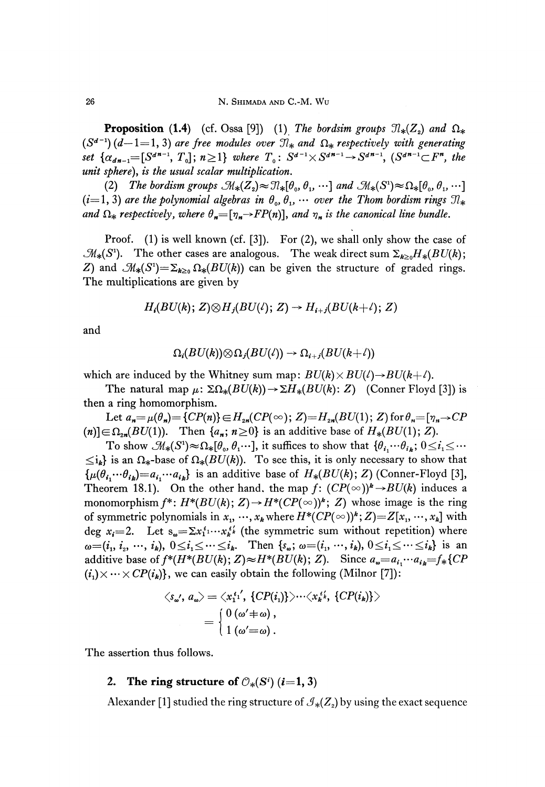**Proposition** (1.4) (cf. Ossa [9]) (1) The bordsim groups  $\mathcal{D}_*(Z_2)$  and  $\Omega_*$  $(S^{d-1})$  ( $d-1=1, 3$ ) are free modules over  $\mathcal{I}_*$  and  $\Omega_*$  respectively with generating  $s$  for  $\{a_{d,n-1} = [S^{d,n-1}, T_0]$ ;  $n \geq 1\}$  where  $T_0$ :  $S^{d-1} \times S^{d,n-1} \to S^{d,n-1}$ ,  $(S^{d,n-1} \subset F^n$ , the *unit sphere), is the usual scalar multiplication.*

(2) The bordism groups  $\mathfrak{M}_{*}(Z_2) \approx \mathfrak{N}_{*}[\theta_0, \theta_1, \cdots]$  and  $\mathfrak{M}_{*}(S^1) \approx \Omega_{*}[\theta_0, \theta_1, \cdots]$  $(i=1, 3)$  are the polynomial algebras in  $\theta_0, \theta_1, \cdots$  over the Thom bordism rings  $\mathfrak{N}_*$ and  $\Omega_*$  respectively, where  $\theta_* = [\eta_* \to FP(n)]$ , and  $\eta_*$  is the canonical line bundle.

Proof. (1) is well known (cf. [3]). For (2), we shall only show the case of  $\mathcal{M}_*(S^1)$ . The other cases are analogous. The weak direct sum  $\Sigma_{k\geq 0}H_*(BU(k))$ Z) and  $\mathcal{M}_*(S^1) = \sum_{k \geq 0} \Omega_*(BU(k))$  can be given the structure of graded rings. The multiplications are given by

$$
H_i(BU(k); Z) \otimes H_j(BU(\ell); Z) \to H_{i+j}(BU(k+\ell); Z)
$$

and

$$
\Omega_i(BU(k))\otimes \Omega_j(BU(\ell))\to \Omega_{i+j}(BU(k+\ell))
$$

which are induced by the Whitney sum map:  $BU(k) \times BU(l) \rightarrow BU(k+l)$ .

The natural map  $\mu$ :  $\Sigma\Omega_*(BU(k)) \to \Sigma H_*(BU(k): Z)$  (Conner Floyd [3]) is then a ring homomorphism.

Let  $a_n = \mu(\theta_n) = \{CP(n)\}\in H_{2n}(CP(\infty); Z) = H_{2n}(BU(1); Z)$  for  $\theta_n = [\eta_n \to CP$  $(n)$ ] $\in \Omega_{2n}(BU(1))$ . Then  $\{a_n; n \geq 0\}$  is an additive base of  $H_*(BU(1); Z)$ .

 $\text{To show } \mathcal{M}_*(S^1) \approx \Omega_*[0, \theta_1 \cdots], \text{ it suffices to show that } {\theta_i}_1 \cdots \theta_i, \ 0 \leq i_1 \leq \cdots$  $\leq i_k$  is an  $\Omega_*$ -base of  $\Omega_*(BU(k))$ . To see this, it is only necessary to show that  $\{\mu(\theta_{i_1} \cdots \theta_{i_k}) = a_{i_1} \cdots a_{i_k}\}\$  is an additive base of  $H_*(BU(k); Z)$  (Conner-Floyd [3], Theorem 18.1). On the other hand, the map  $f: (CP(\infty))^k \rightarrow BU(k)$  induces a monomorphism  $f^*$ :  $H^*(BU(k); Z) {\,\rightarrow\,} H^*(CP({\infty}))^k; Z)$  whose image is the ring of symmetric polynomials in  $x_{1}, \cdots, x_{k}$  where  $H^{*}(CP(\infty))^{k}; Z)=Z[x_{1}, \cdots, x_{k}]$  with deg  $x_i = 2$ . Let  $s_{\omega} = \sum x_1^i \cdots x_k^{i'}$  (the symmetric sum without repetition) where  $\omega = (i_1, i_2, \dots, i_k), 0 \le i_1 \le \dots \le i_k$ . Then  $\{s_\omega; \omega = (i_1, \dots, i_k), 0 \le i_1 \le \dots \le i_k\}$  is an additive base of  $f^*(H^*(BU(k); Z) \approx H^*(BU(k); Z)$ . Since  $a_{\omega} = a_{i_1} \cdots a_{i_k} = f_*\{CP$  $(i_1) \times \cdots \times CP(i_k)$ , we can easily obtain the following (Milnor [7]):

$$
\langle s_{\omega'}, a_{\omega} \rangle = \langle x_1^{i_1'}, \{ CP(i_1) \} \rangle \cdots \langle x_k^{i_k'}, \{ CP(i_k) \} \rangle
$$
  
= 
$$
\begin{cases} 0 (\omega' \neq \omega), \\ 1 (\omega' = \omega). \end{cases}
$$

The assertion thus follows.

### **2.** The ring structure of  $\mathcal{O}_*(S^i)$  (*i*=1, 3)

Alexander [1] studied the ring structure of  $\mathcal{J}_*(Z_{_2})$  by using the exact sequence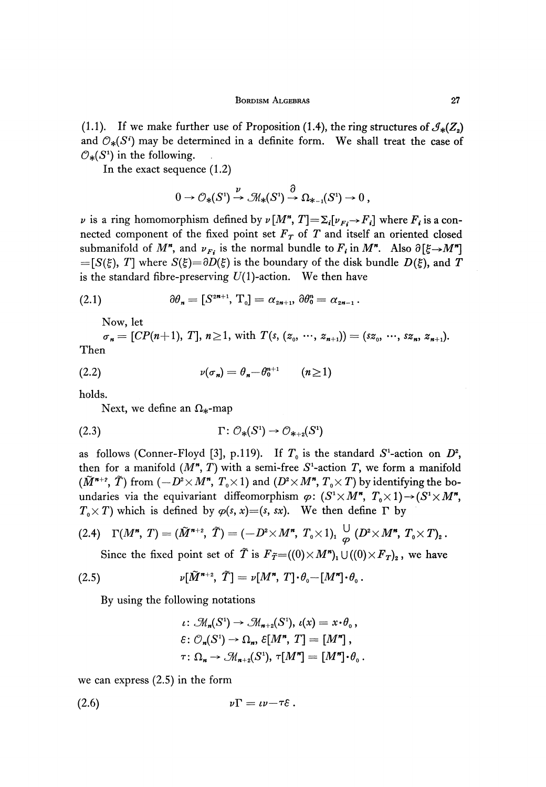(1.1). If we make further use of Proposition (1.4), the ring structures of  $\mathcal{J}_*(Z_2)$ and  $\mathcal{O}_*(S^i)$  may be determined in a definite form. We shall treat the case of  $\mathcal{O}_*(S^1)$  in the following.

In the exact sequence (1.2)

$$
0 \to \mathcal{O}_{*}(S^{1}) \xrightarrow{\nu} \mathcal{M}_{*}(S^{1}) \xrightarrow{\partial} \Omega_{*-1}(S^{1}) \to 0,
$$

*v* is a ring homomorphism defined by  $\nu \left[ M^*, T \right] = \sum_i [\nu_{Fi} \rightarrow F_i]$  where  $F_i$  is a connected component of the fixed point set *F<sup>τ</sup>* of *T* and itself an oriented closed submanifold of  $M^n$ , and  $\nu_{F_i}$  is the normal bundle to  $F_i$  in  $M^n$ . Also  $\partial \left[ \xi \rightarrow M^n \right]$  $=[S(\xi), T]$  where  $S(\xi)=\partial D(\xi)$  is the boundary of the disk bundle  $D(\xi)$ , and *T* is the standard fibre-preserving  $U(1)$ -action. We then have

(2.1) 
$$
\partial \theta_n = [S^{2n+1}, T_0] = \alpha_{2n+1}, \, \partial \theta_0^n = \alpha_{2n-1} \, .
$$

Now, let

*n <i>n <i>n f***<sub>***n***</sub> = [***CP***(***n***+1),** *T***],** *n* $\ge$ **1, with** *T***(***s***, (***z***<sub>0</sub>, ···,** *z***<sub>***n***+1</sub>)) = (***sz***<sub>0</sub>, ···,** *sz***<sub>***n***</sub>,** *z***<sub>***n***+1</sub>).** Then

$$
v(\sigma_n) = \theta_n - \theta_0^{n+1} \qquad (n \ge 1)
$$

holds.

Next, we define an  $\Omega_*$ -map

$$
(2.3) \t\Gamma: \mathcal{O}_{*}(S^{1}) \to \mathcal{O}_{*+2}(S^{1})
$$

as follows (Conner-Floyd [3], p.119). If  $T_0$  is the standard  $S^1$ -action on  $D^2$ , then for a manifold  $(M^{\prime\prime}, T)$  with a semi-free  $S^1$ -action  $T$ , we form a manifold ( $\tilde{M}^{n+2}$ ,  $\tilde{T}$ ) from  $(-D^2 \times M^n, T_0 \times 1)$  and  $(D^2 \times M^n, T_0 \times T)$  by identifying the boundaries via the equivariant diffeomorphism  $\varphi$ :  $(S^1 \times M^n, T_0 \times 1) \rightarrow (S^1 \times M^n,$ 

$$
T_0 \times T
$$
 which is defined by  $\varphi(s, x) = (s, sx)$ . We then define  $\Gamma$  by  
(2.4)  $\Gamma(M^n, T) = (\tilde{M}^{n+2}, \tilde{T}) = (-D^2 \times M^n, T_0 \times 1)_1 \overset{\cup}{\varphi} (D^2 \times M^n, T_0 \times T)_2$ .

Since the fixed point set of  $\tilde{T}$  is  $F_{\tilde{T}} = ((0) \times M^r)_1 \cup ((0) \times F_T)_2$ , we have

(2.5) 
$$
\nu[\widetilde{M}^{n+2}, \ \widetilde{T}] = \nu[M^n, \ T] \cdot \theta_0 - [M^n] \cdot \theta_0.
$$

By using the following notations

$$
\iota \colon \mathcal{M}_n(S^1) \to \mathcal{M}_{n+2}(S^1), \iota(x) = x \cdot \theta_0,
$$
  

$$
\varepsilon \colon \mathcal{O}_n(S^1) \to \Omega_n, \varepsilon[M^n, T] = [M^n],
$$
  

$$
\tau \colon \Omega_n \to \mathcal{M}_{n+2}(S^1), \tau[M^n] = [M^n] \cdot \theta_0.
$$

we can express (2.5) in the form

$$
v\Gamma = \iota v - \tau \varepsilon.
$$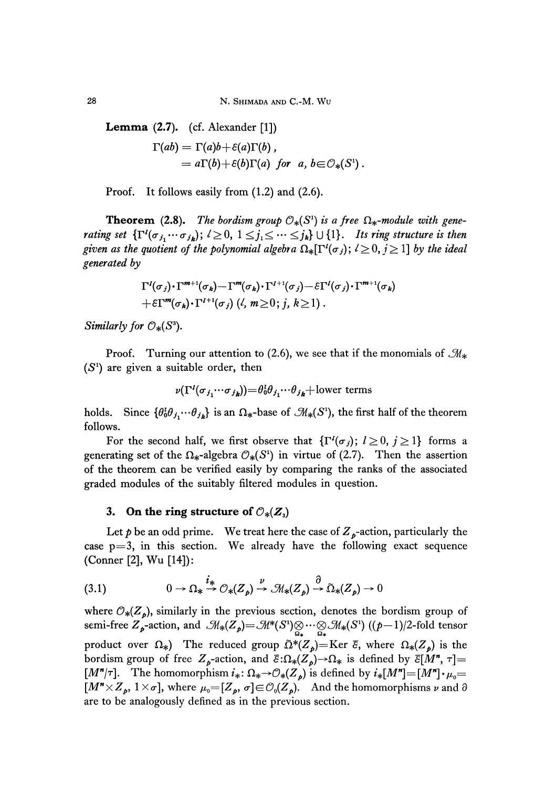28 N. SHIMADA AND C.-M. WU

**Lemma** (2.7). (cf. Alexander [1])  $\Gamma(ab) = \Gamma(a)b + \varepsilon(a)\Gamma(b)$ ,  $= a\Gamma(b)+\varepsilon(b)\Gamma(a)$  *for a, b* $\in\mathcal{O}_*(S^1)$ .

Proof. It follows easily from (1.2) and (2.6).

**Theorem** (2.8). The bordism group  $\mathcal{O}_*(S^1)$  is a free  $\Omega_*$ -module with gene*rating set*  $\{\Gamma^{\prime}(\sigma_{j_1} \cdots \sigma_{j_k}); l \geq 0, 1 \leq j_1 \leq \cdots \leq j_k\} \cup \{1\}$ . Its ring structure is then given as the quotient of the polynomial algebra  $\Omega_*[\Gamma^l(\sigma_j); l \geq 0, j \geq 1]$  by the ideal *generated by*

$$
\Gamma^{l}(\sigma_{j})\cdot\Gamma^{m+1}(\sigma_{k})-\Gamma^{m}(\sigma_{k})\cdot\Gamma^{l+1}(\sigma_{j})-\epsilon\Gamma^{l}(\sigma_{j})\cdot\Gamma^{m+1}(\sigma_{k})+\epsilon\Gamma^{m}(\sigma_{k})\cdot\Gamma^{l+1}(\sigma_{j})\; (l, m\geq 0; j, k\geq 1).
$$

*Similarly for*  $\mathcal{O}_*(S^3)$ .

Proof. Turning our attention to (2.6), we see that if the monomials of  $\mathcal{M}_{*}$ *(S<sup>1</sup> )* are given a suitable order, then

$$
\nu(\Gamma^l(\sigma_{j_1}\cdots\sigma_{j_k})) = \theta_0^l \theta_{j_1}\cdots\theta_{j_k} + \text{lower terms}
$$

holds. Since  $\{\theta_0^t \theta_{j_1} \cdots \theta_{j_k}\}$  is an  $\Omega_*$ -base of  $\mathcal{M}_*(S^1)$ , the first half of the theorem follows.

For the second half, we first observe that  $\{\Gamma^l(\sigma_j); l \geq 0, j \geq 1\}$  forms a generating set of the  $\Omega_*$ -algebra  $\mathcal{O}_*(S^1)$  in virtue of (2.7). Then the assertion of the theorem can be verified easily by comparing the ranks of the associated graded modules of the suitably filtered modules in question.

# 3. On the ring structure of  $\mathcal{O}_{*}(Z_{3})$

Let  $p$  be an odd prime. We treat here the case of  $Z_{\nu}$ -action, particularly the case  $p=3$ , in this section. We already have the following exact sequence (Conner [2], Wu [14]):

(3.1) 
$$
0 \to \Omega_* \xrightarrow{i_*} \mathcal{O}_*(Z_p) \xrightarrow{\nu} \mathcal{M}_*(Z_p) \xrightarrow{\partial} \tilde{\Omega}_*(Z_p) \to 0
$$

where  $\mathcal{O}_*(Z_p)$ , similarly in the previous section, denotes the bordism group of semi-free  $Z^{\prime}_{p}$ -action, and  $\mathcal{M}_{*}(Z^{\prime}_{p}) = \mathcal{M}^{*}(S^{1}) \underset{\Omega_{*}}{\otimes} \cdots \underset{\Omega_{*}}{\otimes} \mathcal{M}_{*}(S^{1})$  ((p-1)/2-fold tensor product over  $\Omega_*$ ) The reduced group  $\tilde{\Omega}^*(Z_p)$ =Ker  $\bar{\varepsilon}$ , where  $\Omega_*(Z_p)$  is the bordism group of free  $Z_p$ -action, and  $\bar{\varepsilon}:\Omega_*(Z_p){\to}\Omega_*$  is defined by  $\bar{\varepsilon}[M^*,\tau]$  $[M^{\prime\prime}/\tau]$ . The homomorphism  $i_*\colon \Omega_* \to \mathcal{O}_*(Z_\rho)$  is defined by  $i_*[M^{\prime\prime}] = [M^{\prime\prime}] \cdot \mu_0 =$  $[M^m \times Z_p, 1 \times \sigma]$ , where  $\mu_0 = [Z_p, \sigma] \in \mathcal{O}_0(Z_p)$ . And the homomorphisms  $\nu$  and 3 are to be analogously defined as in the previous section.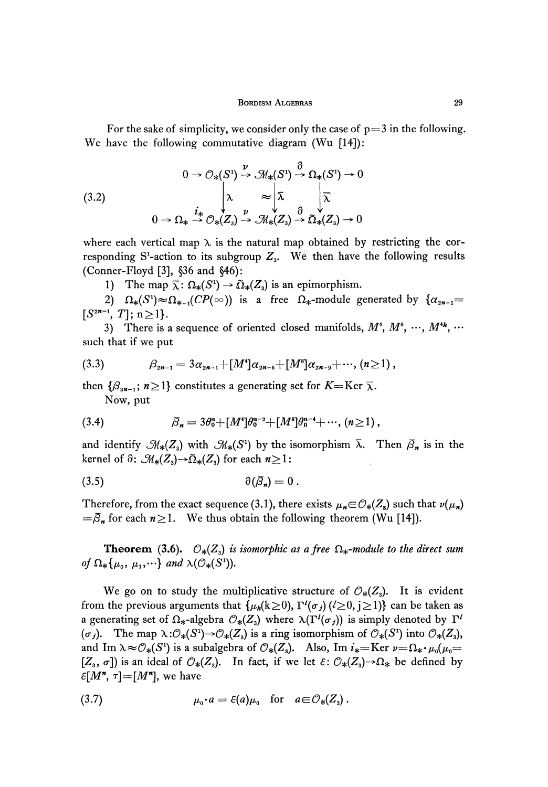For the sake of simplicity, we consider only the case of  $p=3$  in the following. We have the following commutative diagram (Wu [14]):

(3.2)  
\n
$$
0 \to \mathcal{O}_{*}(S^{1}) \xrightarrow{\nu} \mathcal{M}_{*}(S^{1}) \xrightarrow{\partial} \Omega_{*}(S^{1}) \to 0
$$
\n
$$
\downarrow \lambda \qquad \approx \downarrow \overline{\lambda} \qquad \downarrow \overline{\overline{\lambda}}
$$
\n
$$
0 \to \Omega_{*} \xrightarrow{i_{*}} \mathcal{O}_{*}(Z_{3}) \xrightarrow{\nu} \mathcal{M}_{*}(Z_{3}) \xrightarrow{\partial} \tilde{\Omega}_{*}(Z_{3}) \to 0
$$

where each vertical map  $\lambda$  is the natural map obtained by restricting the corresponding S<sup>1</sup>-action to its subgroup  $Z<sub>3</sub>$ . We then have the following results (Conner-Floyd [3], §36 and §46):

1) The map  $\overline{\lambda}$ :  $\Omega_*(S^1) \to \Omega_*(Z_3)$  is an epimorphism.

2)  $\Omega_*(S^1) \approx \Omega_{*-1}(CP(\infty))$  is a free  $\Omega_*$ -module generated by  $\{\alpha_{2n-1} =$  $[S^{2n-1}, T]; n \geq 1$ .

3) There is a sequence of oriented closed manifolds,  $M^4$ ,  $M^8$ ,  $\cdots$ ,  $M^{4k}$ , such that if we put

$$
(3.3) \qquad \beta_{2n-1} = 3\alpha_{2n-1} + [M^4]\alpha_{2n-5} + [M^8]\alpha_{2n-9} + \cdots, (n \ge 1),
$$

then  $\{\beta_{2n-1}; n \geq 1\}$  constitutes a generating set for  $K=Ker \overline{\lambda}$ . Now, put

(3.4) 
$$
\bar{\beta}_n = 3\theta_0^n + [M^4]\theta_0^{n-2} + [M^8]\theta_0^{n-4} + \cdots, (n \ge 1),
$$

and identify  $\mathcal{M}_*(Z_3)$  with  $\mathcal{M}_*(S^1)$  by the isomorphism  $\bar{\lambda}$ . Then  $\bar{\beta}_n$  is in the kernel of  $\partial: \mathcal{M}_*(Z_s) \to \tilde{\Omega}_*(Z_s)$  for each  $n \geq 1$ :

$$
\partial(\bar{\beta}_n)=0\,.
$$

Therefore, from the exact sequence (3.1), there exists  $\mu_n \in \mathcal{O}_*(Z_s)$  such that  $\nu(\mu_n)$  $=\bar{\beta}_n$  for each  $n\geq 1$ . We thus obtain the following theorem (Wu [14]).

**Theorem** (3.6).  $\mathcal{O}_{*}(Z_3)$  *is isomorphic as a free*  $\Omega_{*}$ -module to the direct sum *of*  $\Omega_*\{\mu_0, \mu_1, \cdots\}$  and  $\lambda(\mathcal{O}_*(S^1))$ .

We go on to study the multiplicative structure of  $\mathcal{O}_{*}(Z_{3})$ . It is evident from the previous arguments that  $\{\mu_k(k\geq 0), \Gamma^l(\sigma_j)(l\geq 0, j\geq 1)\}$  can be taken as a generating set of  $\Omega_*$ -algebra  $\mathcal{O}_*(Z_s)$  where  $\lambda(\Gamma^l(\sigma_j))$  is simply denoted by  $\Gamma^l$ ( $\sigma_j$ ). The map  $\lambda: \mathcal{O}_*(S^1) \to \mathcal{O}_*(Z_s)$  is a ring isomorphism of  $\mathcal{O}_*(S^1)$  into  $\mathcal{O}_*(Z_s)$ , and Im  $\lambda \approx \mathcal{O}_*(S^1)$  is a subalgebra of  $\mathcal{O}_*(Z_3)$ . Also, Im  $i_*$ =Ker  $\nu = \Omega_* \cdot \mu_0(\mu_0=$  $[Z_3, \sigma]$ ) is an ideal of  $\mathcal{O}_*(Z_3)$ . In fact, if we let  $\varepsilon \colon \mathcal{O}_*(Z_3) \to \Omega_*$  be defined by  $\varepsilon$ [*M*<sup>\*</sup>,  $\tau$ ]=[*M*<sup>\*</sup>], we have

$$
\mu_{0} \cdot a = \varepsilon(a) \mu_{0} \quad \text{for} \quad a \in \mathcal{O}_{*}(Z_{3})\,.
$$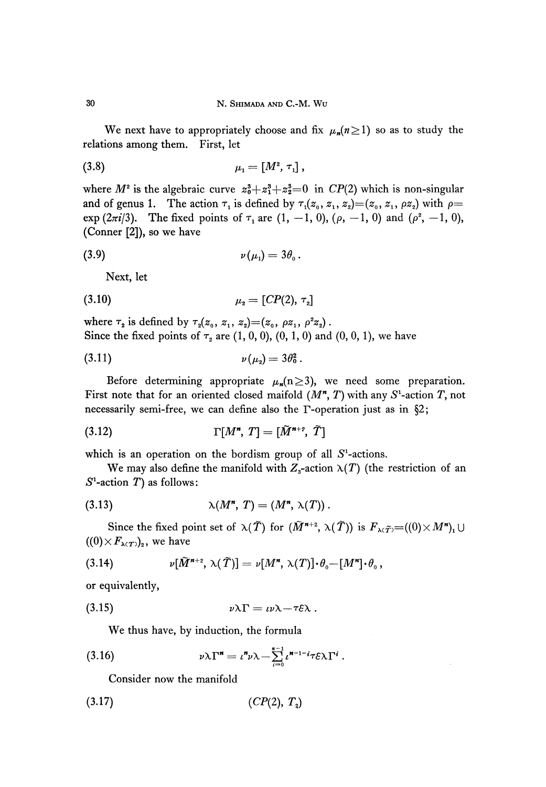We next have to appropriately choose and fix  $\mu_n(n\geq 1)$  so as to study the relations among them. First, let

(3.8) 
$$
\mu_1 = [M^2, \tau_1],
$$

where  $M^2$  is the algebraic curve  $z_0^3 + z_1^3 + z_2^3 = 0$  in  $CP(2)$  which is non-singular and of genus 1. The action  $\tau_1$  is defined by  $\tau_1(z_0, z_1, z_2) = (z_0, z_1, \rho z_2)$  with  $\rho =$ exp (2 $\pi i/3$ ). The fixed points of  $\tau_1$  are  $(1, -1, 0)$ ,  $(\rho, -1, 0)$  and  $(\rho^2, -1, 0)$ , (Conner [2]), so we have

$$
(3.9) \t\t\t v(\mu_1)=3\theta_0.
$$

Next, let

$$
\mu_2 = [CP(2), \tau_2]
$$

where  $\tau_2$  is defined by  $\tau_2(z_0, z_1, z_2) = (z_0, \rho z_1, \rho^2 z_2)$ Since the fixed points of  $\tau_z$  are  $(1, 0, 0)$ ,  $(0, 1, 0)$  and  $(0, 0, 1)$ , we have

(3.11) 
$$
v(\mu_2) = 3\theta_0^2.
$$

Before determining appropriate  $\mu_n(n\geq 3)$ , we need some preparation. First note that for an oriented closed maifold  $(M^*, T)$  with any  $S^1$ -action  $T$ , not necessarily semi-free, we can define also the Γ-operation just as in §2;

$$
(3.12) \t\Gamma[M^*, T] = [\tilde{M}^{n+2}, \tilde{T}]
$$

which is an operation on the bordism group of all  $S<sup>1</sup>$ -actions.

We may also define the manifold with  $Z_3$ -action  $\lambda(T)$  (the restriction of an  $S^1$ -action  $T$ ) as follows:

$$
\lambda(M^n, T) = (M^n, \lambda(T)).
$$

Since the fixed point set of  $\lambda(\widetilde{T})$  for  $(\widetilde{M}^{n+2},\,\lambda(\widetilde{T}))$  is  $F_{\lambda\in\widetilde{T}}$  $((0) \times F_{\lambda(T)})_2$ , we have

(3.14) 
$$
\nu[\widetilde{M}^{n+2}, \lambda(\widetilde{T})] = \nu[M^n, \lambda(T)] \cdot \theta_0 - [M^n] \cdot \theta_0,
$$

or equivalently,

$$
v\lambda\Gamma = v\lambda - \tau\epsilon\lambda.
$$

We thus have, by induction, the formula

(3.16) 
$$
\nu \lambda \Gamma^{n} = \iota^{n} \nu \lambda - \sum_{i=0}^{n-1} \iota^{n-1-i} \tau \varepsilon \lambda \Gamma^{i}
$$

Consider now the manifold

$$
(3.17) \qquad (CP(2), T2)
$$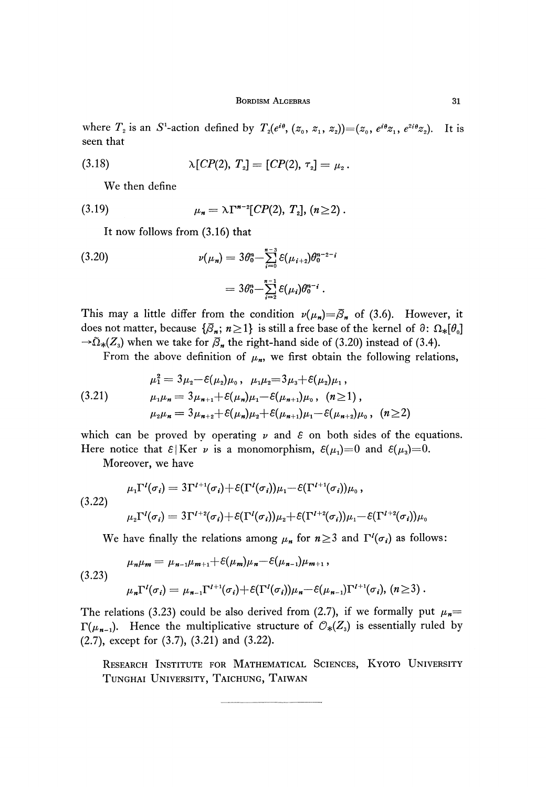where  $T_2$  is an S<sup>1</sup>-action defined by  $T_2(e^{i\theta}, (z_0, z_1, z_2)) = (z_0, e^{i\theta}z_1, e^{2i\theta}z_2)$ *).* It is seen that

(3.18) 
$$
\lambda [CP(2), T_{2}] = [CP(2), \tau_{2}] = \mu_{2}.
$$

We then define

(3.19) 
$$
\mu_n = \lambda \Gamma^{n-2} [CP(2), T_2], (n \geq 2).
$$

It now follows from (3.16) that

(3.20) 
$$
\nu(\mu_n) = 3\theta_0^n - \sum_{i=0}^{n-3} \mathcal{E}(\mu_{i+2})\theta_0^{n-2-i} = 3\theta_0^n - \sum_{i=2}^{n-1} \mathcal{E}(\mu_i)\theta_0^{n-i}.
$$

This may a little differ from the condition  $\nu(\mu_n) = \overline{\beta}_n$  of (3.6). However, it does not matter, because  $\{\bar{\beta}_n;\,n\geq 1\}$  is still a free base of the kernel of  $\partial\colon\Omega_*[\theta_0]$  $\rightarrow$   $\tilde{\Omega}_{*}(Z_{3})$  when we take for  $\bar{\beta}_{n}$  the right-hand side of (3.20) instead of (3.4).

From the above definition of  $\mu_n$ , we first obtain the following relations,

$$
\mu_1^2 = 3\mu_2 - \varepsilon(\mu_2)\mu_0, \quad \mu_1\mu_2 = 3\mu_3 + \varepsilon(\mu_2)\mu_1,
$$
\n
$$
\mu_1\mu_n = 3\mu_{n+1} + \varepsilon(\mu_n)\mu_1 - \varepsilon(\mu_{n+1})\mu_0, \quad (n \ge 1),
$$
\n
$$
\mu_2\mu_n = 3\mu_{n+2} + \varepsilon(\mu_n)\mu_2 + \varepsilon(\mu_{n+1})\mu_1 - \varepsilon(\mu_{n+2})\mu_0, \quad (n \ge 2)
$$

which can be proved by operating  $\nu$  and  $\varepsilon$  on both sides of the equations. Here notice that  $\varepsilon$ |Ker  $\nu$  is a monomorphism,  $\varepsilon(\mu_i)$ =0 and  $\varepsilon(\mu_3)$ =0.

Moreover, we have

$$
\mu_1 \Gamma^l(\sigma_i) = 3\Gamma^{l+1}(\sigma_i) + \varepsilon(\Gamma^l(\sigma_i))\mu_1 - \varepsilon(\Gamma^{l+1}(\sigma_i))\mu_0,
$$
\n
$$
\mu_2 \Gamma^l(\sigma_i) = 3\Gamma^{l+2}(\sigma_i) + \varepsilon(\Gamma^l(\sigma_i))\mu_2 + \varepsilon(\Gamma^{l+2}(\sigma_i))\mu_1 - \varepsilon(\Gamma^{l+2}(\sigma_i))\mu_0.
$$

We have finally the relations among  $\mu_n$  for  $n \geq 3$  and  $\Gamma^l(\sigma_i)$  as follows:

$$
\mu_n \mu_m = \mu_{n-1} \mu_{m+1} + \varepsilon(\mu_m) \mu_n - \varepsilon(\mu_{n-1}) \mu_{m+1},
$$
  
(3.23)  

$$
\mu_n \Gamma^l(\sigma_i) = \mu_{n-1} \Gamma^{l+1}(\sigma_i) + \varepsilon(\Gamma^l(\sigma_i)) \mu_n - \varepsilon(\mu_{n-1}) \Gamma^{l+1}(\sigma_i), \quad (n \ge 3).
$$

The relations (3.23) could be also derived from (2.7), if we formally put  $\mu_n =$ *Γ*( $\mu$ <sub>*n*-1</sub>). Hence the multiplicative structure of  $\mathcal{O}_*(Z_3)$  is essentially ruled by (2.7), except for (3.7), (3.21) and (3.22).

RESEARCH INSTITUTE FOR MATHEMATICAL SCIENCES, KYOTO UNIVERSITY TUNGHAI UNIVERSITY, TAICHUNG, TAIWAN